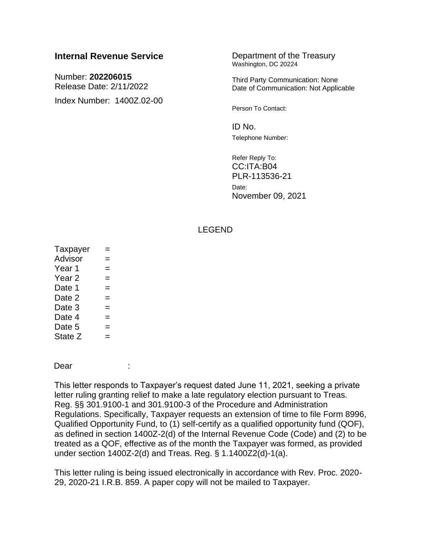# **Internal Revenue Service Department of the Treasury**

Number: **202206015** Release Date: 2/11/2022 Index Number: 1400Z.02-00 Washington, DC 20224

Third Party Communication: None Date of Communication: Not Applicable

Person To Contact:

 $ID$  No. Telephone Number:

Refer Reply To: CC:ITA:B04 PLR-113536-21 Date: November 09, 2021

## LEGEND

| Taxpayer          |     |  |  |  |
|-------------------|-----|--|--|--|
| Advisor           |     |  |  |  |
| Year 1            |     |  |  |  |
| Year <sub>2</sub> |     |  |  |  |
| Date 1            | $=$ |  |  |  |
| Date 2            |     |  |  |  |
| Date 3            |     |  |  |  |
| Date 4            |     |  |  |  |
| Date 5            |     |  |  |  |
| State Z           |     |  |  |  |

Dear :

This letter responds to Taxpayer's request dated June 11, 2021, seeking a private letter ruling granting relief to make a late regulatory election pursuant to Treas. Reg. §§ 301.9100-1 and 301.9100-3 of the Procedure and Administration Regulations. Specifically, Taxpayer requests an extension of time to file Form 8996, Qualified Opportunity Fund, to (1) self-certify as a qualified opportunity fund (QOF), as defined in section 1400Z-2(d) of the Internal Revenue Code (Code) and (2) to be treated as a QOF, effective as of the month the Taxpayer was formed, as provided under section 1400Z-2(d) and Treas. Reg. § 1.1400Z2(d)-1(a).

This letter ruling is being issued electronically in accordance with Rev. Proc. 2020- 29, 2020-21 I.R.B. 859. A paper copy will not be mailed to Taxpayer.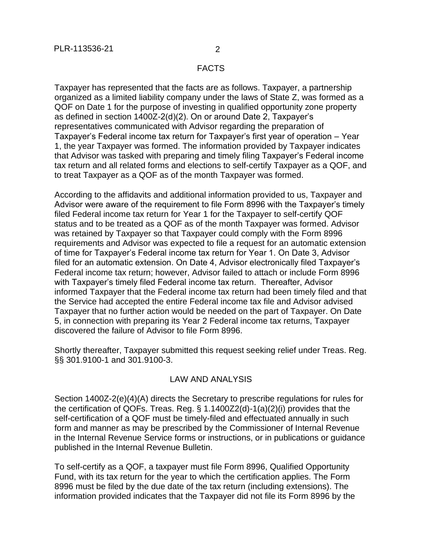#### FACTS

Taxpayer has represented that the facts are as follows. Taxpayer, a partnership organized as a limited liability company under the laws of State Z, was formed as a QOF on Date 1 for the purpose of investing in qualified opportunity zone property as defined in section 1400Z-2(d)(2). On or around Date 2, Taxpayer's representatives communicated with Advisor regarding the preparation of Taxpayer's Federal income tax return for Taxpayer's first year of operation – Year 1, the year Taxpayer was formed. The information provided by Taxpayer indicates that Advisor was tasked with preparing and timely filing Taxpayer's Federal income tax return and all related forms and elections to self-certify Taxpayer as a QOF, and to treat Taxpayer as a QOF as of the month Taxpayer was formed.

According to the affidavits and additional information provided to us, Taxpayer and Advisor were aware of the requirement to file Form 8996 with the Taxpayer's timely filed Federal income tax return for Year 1 for the Taxpayer to self-certify QOF status and to be treated as a QOF as of the month Taxpayer was formed. Advisor was retained by Taxpayer so that Taxpayer could comply with the Form 8996 requirements and Advisor was expected to file a request for an automatic extension of time for Taxpayer's Federal income tax return for Year 1. On Date 3, Advisor filed for an automatic extension. On Date 4, Advisor electronically filed Taxpayer's Federal income tax return; however, Advisor failed to attach or include Form 8996 with Taxpayer's timely filed Federal income tax return. Thereafter, Advisor informed Taxpayer that the Federal income tax return had been timely filed and that the Service had accepted the entire Federal income tax file and Advisor advised Taxpayer that no further action would be needed on the part of Taxpayer. On Date 5, in connection with preparing its Year 2 Federal income tax returns, Taxpayer discovered the failure of Advisor to file Form 8996.

Shortly thereafter, Taxpayer submitted this request seeking relief under Treas. Reg. §§ 301.9100-1 and 301.9100-3.

## LAW AND ANALYSIS

Section 1400Z-2(e)(4)(A) directs the Secretary to prescribe regulations for rules for the certification of QOFs. Treas. Reg. § 1.1400Z2(d)-1(a)(2)(i) provides that the self-certification of a QOF must be timely-filed and effectuated annually in such form and manner as may be prescribed by the Commissioner of Internal Revenue in the Internal Revenue Service forms or instructions, or in publications or guidance published in the Internal Revenue Bulletin.

To self-certify as a QOF, a taxpayer must file Form 8996, Qualified Opportunity Fund, with its tax return for the year to which the certification applies. The Form 8996 must be filed by the due date of the tax return (including extensions). The information provided indicates that the Taxpayer did not file its Form 8996 by the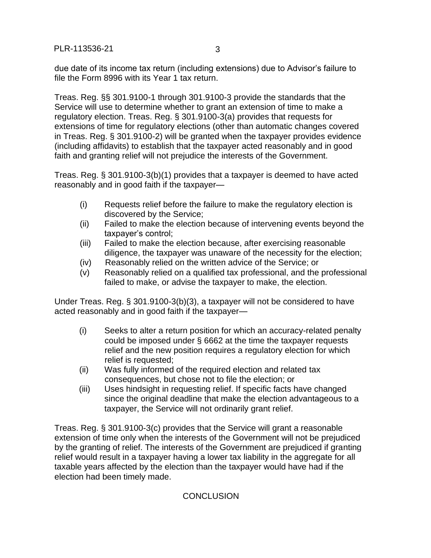due date of its income tax return (including extensions) due to Advisor's failure to file the Form 8996 with its Year 1 tax return.

Treas. Reg. §§ 301.9100-1 through 301.9100-3 provide the standards that the Service will use to determine whether to grant an extension of time to make a regulatory election. Treas. Reg. § 301.9100-3(a) provides that requests for extensions of time for regulatory elections (other than automatic changes covered in Treas. Reg. § 301.9100-2) will be granted when the taxpayer provides evidence (including affidavits) to establish that the taxpayer acted reasonably and in good faith and granting relief will not prejudice the interests of the Government.

Treas. Reg. § 301.9100-3(b)(1) provides that a taxpayer is deemed to have acted reasonably and in good faith if the taxpayer—

- (i) Requests relief before the failure to make the regulatory election is discovered by the Service;
- (ii) Failed to make the election because of intervening events beyond the taxpayer's control;
- (iii) Failed to make the election because, after exercising reasonable diligence, the taxpayer was unaware of the necessity for the election;
- (iv) Reasonably relied on the written advice of the Service; or
- (v) Reasonably relied on a qualified tax professional, and the professional failed to make, or advise the taxpayer to make, the election.

Under Treas. Reg. § 301.9100-3(b)(3), a taxpayer will not be considered to have acted reasonably and in good faith if the taxpayer—

- (i) Seeks to alter a return position for which an accuracy-related penalty could be imposed under § 6662 at the time the taxpayer requests relief and the new position requires a regulatory election for which relief is requested;
- (ii) Was fully informed of the required election and related tax consequences, but chose not to file the election; or
- (iii) Uses hindsight in requesting relief. If specific facts have changed since the original deadline that make the election advantageous to a taxpayer, the Service will not ordinarily grant relief.

Treas. Reg. § 301.9100-3(c) provides that the Service will grant a reasonable extension of time only when the interests of the Government will not be prejudiced by the granting of relief. The interests of the Government are prejudiced if granting relief would result in a taxpayer having a lower tax liability in the aggregate for all taxable years affected by the election than the taxpayer would have had if the election had been timely made.

## **CONCLUSION**